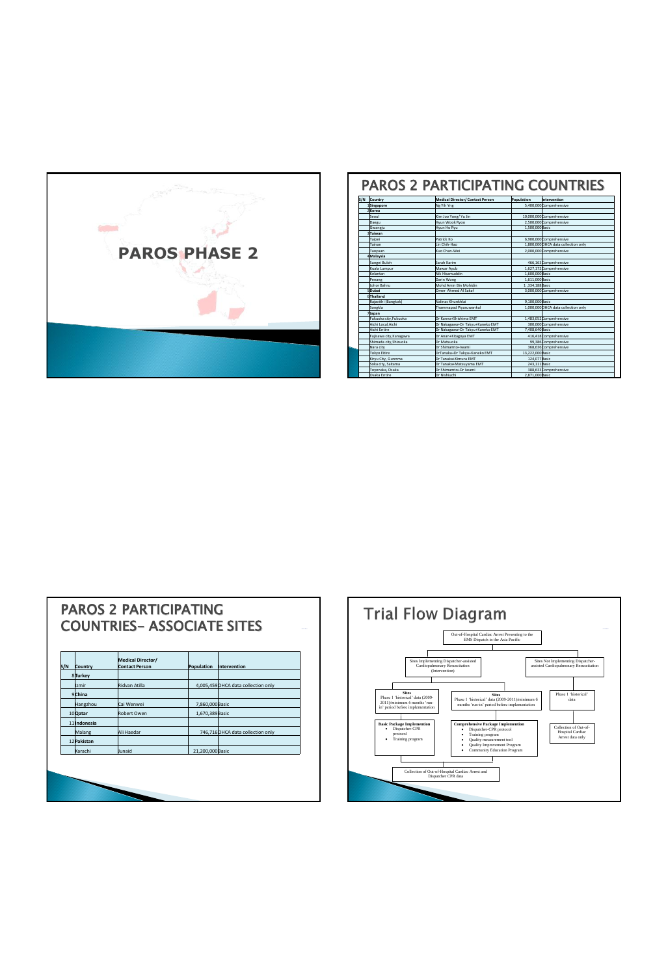

| S/N<br>Country          | Medical Director/ Contact Person | Population       | Intervention                        |
|-------------------------|----------------------------------|------------------|-------------------------------------|
| 1Singapore              | Ng Yih Yng                       |                  | 5.400.000 Comprehensive             |
| 2Korea                  |                                  |                  |                                     |
| Kenul                   | Kim Joo Yong/ Yu Jin             |                  | 10.000.000 Comprehensive            |
| Daegu                   | Hyun Wook Rygg                   |                  | 2.500.000 Comprehensive             |
| Gwangju                 | Hyun Ho Ryu                      | 1.500.000 Basic  |                                     |
| Taiwan                  |                                  |                  |                                     |
| Taipei                  | Patrick Ko                       |                  | 6.900.000 Comprehensive             |
| Tainan                  | Lin Chih-Hao                     |                  | 1.800.000 OHCA data collection only |
| Taovuan                 | Kuo Chan-Wei                     |                  | 2.000.000 Comprehensive             |
| 4Malaysia               |                                  |                  |                                     |
| Sungei Buloh            | <b>Sarah Karim</b>               |                  | 466.163 Comprehensive               |
| Kuala Lumpur            | Mawar Ayub                       |                  | 1.627.172 Comprehensive             |
| Kelantan                | Nik Hisamuddin                   | 1.600.000 Basic  |                                     |
| Penang                  | Darin Wong                       | 1.611.000 Basic  |                                     |
| Johor Bahru             | Mohd Amin Bin Mohidin            | 1.334.188Basic   |                                     |
| SDubai                  | Omer Ahmed Al Sakaf              |                  | 3.000.000 Comprehensive             |
| <b>Strhailand</b>       |                                  |                  |                                     |
| Rajavithi (Bangkok)     | Nalinas Khunkhlai                | 9.100.000 Basic  |                                     |
| Songkla                 | Thammapad Pivasuwankul           |                  | 1.000.000 OHCA data collection only |
| 7ljapan                 |                                  |                  |                                     |
| Fukuoka city.Fukuoka    | Dr Kanna+Shishima FMT            |                  | 1.483.052 Comprehensive             |
| Aichi Local Aichi       | Dr Nakagawa+Dr Takyu+Kaneko EMT  |                  | 300.000 Comprehensive               |
| Aichi Entire            | Dr Nakagawa+Dr Takyu+Kaneko EMT  | 7.408.640 Basic  |                                     |
| Fujisawa city, Kanagawa | Dr Anan+Kitagova EMT             |                  | 416.418 Comprehensive               |
| Shimada city.Shizuoka   | Dr Matsuoka                      |                  | 99.386Comprehensive                 |
| Nara city               | Dr Shimamto+Iwami                |                  | 368.636 Comprehensive               |
| <b>Tokyo Eitire</b>     | DrTanaka+Dr Takyu+Kaneko EMT     | 13.222.000 Basic |                                     |
| Kirvu City, Gunnma      | Dr Tanaka+Kimura EMT             | 124.077 Basic    |                                     |
| Soka city, Saitama      | Dr Tanaka+Matsuvama EMT          | 243.111 Basic    |                                     |
| Toyonaka, Osaka         | Dr Shimamto+Dr Iwami             |                  | 388,633 Comprehensive               |
| <b>Osaka Entire</b>     | Dr Nishiuchi                     | 2.871.000Basic   |                                     |

## PAROS 2 PARTICIPATING COUNTRIES- ASSOCIATE SITES

| S/N | Country      | Medical Director/<br><b>Contact Person</b> | Population       | Intervention                        |
|-----|--------------|--------------------------------------------|------------------|-------------------------------------|
|     | 8Turkey      |                                            |                  |                                     |
|     | Izmir        | Ridvan Atilla                              |                  | 4,005,459 OHCA data collection only |
|     | 9China       |                                            |                  |                                     |
|     | Hangzhou     | Cai Wenwei                                 | 7,860,000 Basic  |                                     |
|     | 10Qatar      | Robert Owen                                | 1,670,389 Basic  |                                     |
|     | 11 Indonesia |                                            |                  |                                     |
|     | Malang       | Ali Haedar                                 |                  | 746,716 OHCA data collection only   |
|     | 12 Pakistan  |                                            |                  |                                     |
|     | Karachi      | <b>Uunaid</b>                              | 21,200,000 Basic |                                     |